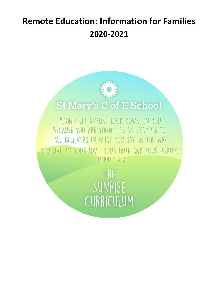# **Remote Education: Information for Families 2020-2021**



# **St Mary's C of E School**

"DON'T LET ANYONE LOOK DOWN ON YOU BECAUSE YOU ARE YOUNG. BE AN EXAMPLE TO ALL BELIEVERS IN WHAT YOU SAY, IN THE WAY YOU LIVE IN YOUR LOVE. YOUR FAITH AND YOUR PURITY." | TIMOTHY 4:12

> **THE** SUNRISE CURRICULUM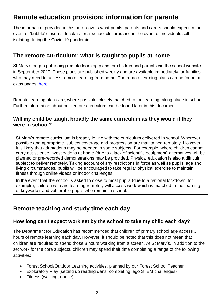# **Remote education provision: information for parents**

The information provided in this pack covers what pupils, parents and carers should expect in the event of 'bubble' closures, local/national school closures and in the event of individuals selfisolating during the Covid-19 pandemic.

### **The remote curriculum: what is taught to pupils at home**

St Mary's began publishing remote learning plans for children and parents via the school website in September 2020. These plans are published weekly and are available immediately for families who may need to access remote learning from home. The remote learning plans can be found on class pages, [here.](https://stmarys-truro.eschools.co.uk/web/class_pages/324664)

Remote learning plans are, where possible, closely matched to the learning taking place in school. Further information about our remote curriculum can be found later in this document.

#### **Will my child be taught broadly the same curriculum as they would if they were in school?**

St Mary's remote curriculum is broadly in line with the curriculum delivered in school. Wherever possible and appropriate, subject coverage and progression are maintained remotely. However, it is likely that adaptations may be needed in some subjects. For example, where children cannot carry out science investigations at home (due to a lack of scientific equipment) alternatives will be planned or pre-recorded demonstrations may be provided. Physical education is also a difficult subject to deliver remotely. Taking account of any restrictions in force as well as pupils' age and living circumstances, pupils will be encouraged to take regular physical exercise to maintain fitness through online videos or indoor challenges.

In the event that the school is asked to close to most pupils (due to a national lockdown, for example), children who are learning remotely will access work which is matched to the learning of keyworker and vulnerable pupils who remain in school.

### **Remote teaching and study time each day**

#### **How long can I expect work set by the school to take my child each day?**

The Department for Education has recommended that children of primary school age access 3 hours of remote learning each day. However, it should be noted that this does not mean that children are required to spend those 3 hours working from a screen. At St Mary's, in addition to the set work for the core subjects, children may spend their time completing a range of the following activities:

- Forest School/Outdoor Learning activities, planned by our Forest School Teacher
- Exploratory Play (setting up reading dens, completing lego STEM challenges)
- Fitness (walking, dance)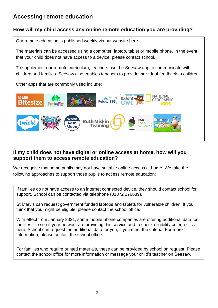## **Accessing remote education**

#### **How will my child access any online remote education you are providing?**

Our remote education is published weekly via our website [here.](https://stmarys-truro.eschools.co.uk/web/class_pages/324664)

The materials can be accessed using a computer, laptop, tablet or mobile phone. In the event that your child does not have access to a device, please contact school.

To supplement our remote curriculum, teachers use the [Seesaw](https://web.seesaw.me/parents) app to communicate with children and families. Seesaw also enables teachers to provide individual feedback to children.

Other apps that are commonly used include:



#### **If my child does not have digital or online access at home, how will you support them to access remote education?**

We recognise that some pupils may not have suitable online access at home. We take the following approaches to support those pupils to access remote education:

If families do not have access to an internet connected device, they should contact school for support. School can be contacted via telephone (01872 276689).

St Mary's can request government funded laptops and tablets for vulnerable children. If you think that you might be eligible, please contact the school office.

With effect from January 2021, some mobile phone companies are offering additional data for families. To see if your network are providing this service and to check eligibility criteria [click](https://get-help-with-tech.education.gov.uk/about-increasing-mobile-data)  [here.](https://get-help-with-tech.education.gov.uk/about-increasing-mobile-data) School can request the additional data for you, if you meet the criteria. For more information, please contact the school office.

For families who require printed materials, these can be provided by school on request. Please contact the school office for more information or message your child's teacher on Seesaw.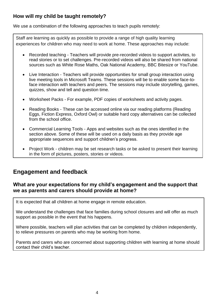#### **How will my child be taught remotely?**

We use a combination of the following approaches to teach pupils remotely:

Staff are learning as quickly as possible to provide a range of high quality learning experiences for children who may need to work at home. These approaches may include:

- Recorded teaching Teachers will provide pre-recorded videos to support activites, to read stories or to set challenges. Pre-recorded videos will also be shared from national sources such as White Rose Maths, Oak National Academy, BBC Bitesize or YouTube.
- Live Interaction Teachers will provide opportunities for small group interaction using live meeting tools in Microsoft Teams. These sessions will be to enable some face-toface interaction with teachers and peers. The sessions may include storytelling, games, quizzes, show and tell and question time.
- Worksheet Packs For example, PDF copies of worksheets and activity pages.
- Reading Books These can be accessed online via our reading platforms (Reading Eggs, Fiction Express, Oxford Owl) or suitable hard copy alternatives can be collected from the school office.
- Commercial Learning Tools Apps and websites such as the ones identified in the section above. Some of these will be used on a daily basis as they provide age appropriate sequences and support children's progress.
- Project Work children may be set research tasks or be asked to present their learning in the form of pictures, posters, stories or videos.

## **Engagement and feedback**

#### **What are your expectations for my child's engagement and the support that we as parents and carers should provide at home?**

It is expected that all children at home engage in remote education.

We understand the challenges that face families during school closures and will offer as much support as possible in the event that his happens.

Where possible, teachers will plan activities that can be completed by children independently, to relieve pressures on parents who may be working from home.

Parents and carers who are concerned about supporting children with learning at home should contact their child's teacher.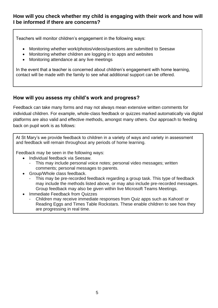#### **How will you check whether my child is engaging with their work and how will I be informed if there are concerns?**

Teachers will monitor children's engagement in the following ways:

- Monitoring whether work/photos/videos/questions are submitted to Seesaw
- Monitoring whether children are logging in to apps and websites
- Monitoring attendance at any live meetings

In the event that a teacher is concerned about children's engagement with home learning, contact will be made with the family to see what additional support can be offered.

#### **How will you assess my child's work and progress?**

Feedback can take many forms and may not always mean extensive written comments for individual children. For example, whole-class feedback or quizzes marked automatically via digital platforms are also valid and effective methods, amongst many others. Our approach to feeding back on pupil work is as follows:

At St Mary's we provide feedback to children in a variety of ways and variety in assessment and feedback will remain throughout any periods of home learning.

Feedback may be seen in the following ways:

- Individual feedback via Seesaw.
	- This may include personal voice notes; personal video messages; written comments; personal messages to parents.
- Group/Whole class feedback.
	- This may be pre-recorded feedback regarding a group task. This type of feedback may include the methods listed above, or may also include pre-recorded messages. Group feedback may also be given within live Microsoft Teams Meetings.
- Immediate Feedback from Quizzes
	- Children may receive immediate responses from Quiz apps such as Kahoot! or Reading Eggs and Times Table Rockstars. These enable children to see how they are progressing in real time.